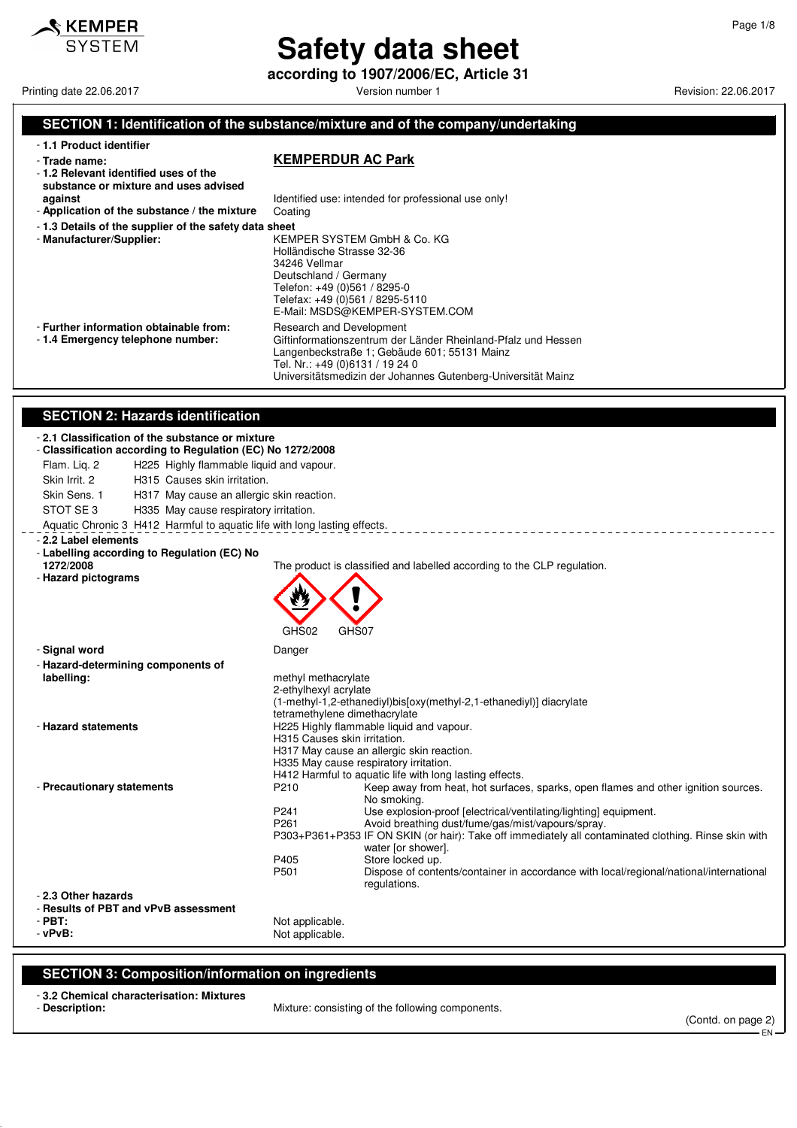

**according to 1907/2006/EC, Article 31**

Printing date 22.06.2017 **Version number 1 Printing date 22.06.2017 Revision: 22.06.2017** 

#### **SECTION 1: Identification of the substance/mixture and of the company/undertaking**

|  |  | - 1.1 Product identifier |  |
|--|--|--------------------------|--|
|--|--|--------------------------|--|

#### - **Trade name: KEMPERDUR AC Park**

Telefon: +49 (0)561 / 8295-0 Telefax: +49 (0)561 / 8295-5110 E-Mail: MSDS@KEMPER-SYSTEM.COM

- **1.2 Relevant identified uses of the substance or mixture and uses advised against absolute 1** and **I** dentified use: intended for professional use only! - **Application of the substance / the mixture** Coating - **1.3 Details of the supplier of the safety data sheet** - **Manufacturer/Supplier:** KEMPER SYSTEM GmbH & Co. KG Holländische Strasse 32-36 34246 Vellmar Deutschland / Germany

|  |  |  | - Further information obtainable from: |  |
|--|--|--|----------------------------------------|--|
|  |  |  |                                        |  |

#### **Research and Development** - **1.4 Emergency telephone number:** Giftinformationszentrum der Länder Rheinland-Pfalz und Hessen Langenbeckstraße 1; Gebäude 601; 55131 Mainz

- Tel. Nr.: +49 (0)6131 / 19 24 0 Universitätsmedizin der Johannes Gutenberg-Universität Mainz
- **SECTION 2: Hazards identification**

#### - **2.1 Classification of the substance or mixture**

#### - **Classification according to Regulation (EC) No 1272/2008**

- Flam. Liq. 2 H225 Highly flammable liquid and vapour. Skin Irrit. 2 H315 Causes skin irritation.
- Skin Sens. 1 H317 May cause an allergic skin reaction.
- STOT SE 3 H335 May cause respiratory irritation.
- Aquatic Chronic 3 H412 Harmful to aquatic life with long lasting effects.

#### - **2.2 Label elements**

- **Labelling according to Regulation (EC) No 1272/2008** The product is classified and labelled according to the CLP regulation.

- **Hazard pictograms**

GHS02 GHS07

- **Signal word** Danger

| - Hazard-determining components of   |                               |                                                                                                      |
|--------------------------------------|-------------------------------|------------------------------------------------------------------------------------------------------|
| labelling:                           | methyl methacrylate           |                                                                                                      |
|                                      | 2-ethylhexyl acrylate         |                                                                                                      |
|                                      |                               | (1-methyl-1,2-ethanediyl)bis[oxy(methyl-2,1-ethanediyl)] diacrylate                                  |
|                                      | tetramethylene dimethacrylate |                                                                                                      |
| - Hazard statements                  |                               | H225 Highly flammable liquid and vapour.                                                             |
|                                      | H315 Causes skin irritation.  |                                                                                                      |
|                                      |                               | H317 May cause an allergic skin reaction.                                                            |
|                                      |                               | H335 May cause respiratory irritation.                                                               |
|                                      |                               | H412 Harmful to aquatic life with long lasting effects.                                              |
| - Precautionary statements           | P210                          | Keep away from heat, hot surfaces, sparks, open flames and other ignition sources.                   |
|                                      |                               | No smoking.                                                                                          |
|                                      | P241                          | Use explosion-proof [electrical/ventilating/lighting] equipment.                                     |
|                                      | P <sub>261</sub>              | Avoid breathing dust/fume/gas/mist/vapours/spray.                                                    |
|                                      |                               | P303+P361+P353 IF ON SKIN (or hair): Take off immediately all contaminated clothing. Rinse skin with |
|                                      |                               | water [or shower].                                                                                   |
|                                      | P405                          | Store locked up.                                                                                     |
|                                      | P <sub>501</sub>              | Dispose of contents/container in accordance with local/regional/national/international               |
|                                      |                               | regulations.                                                                                         |
| - 2.3 Other hazards                  |                               |                                                                                                      |
| - Results of PBT and vPvB assessment |                               |                                                                                                      |
| - PBT:                               | Not applicable.               |                                                                                                      |
| - vPvB:                              | Not applicable.               |                                                                                                      |

### **SECTION 3: Composition/information on ingredients**

## - **3.2 Chemical characterisation: Mixtures**

Mixture: consisting of the following components.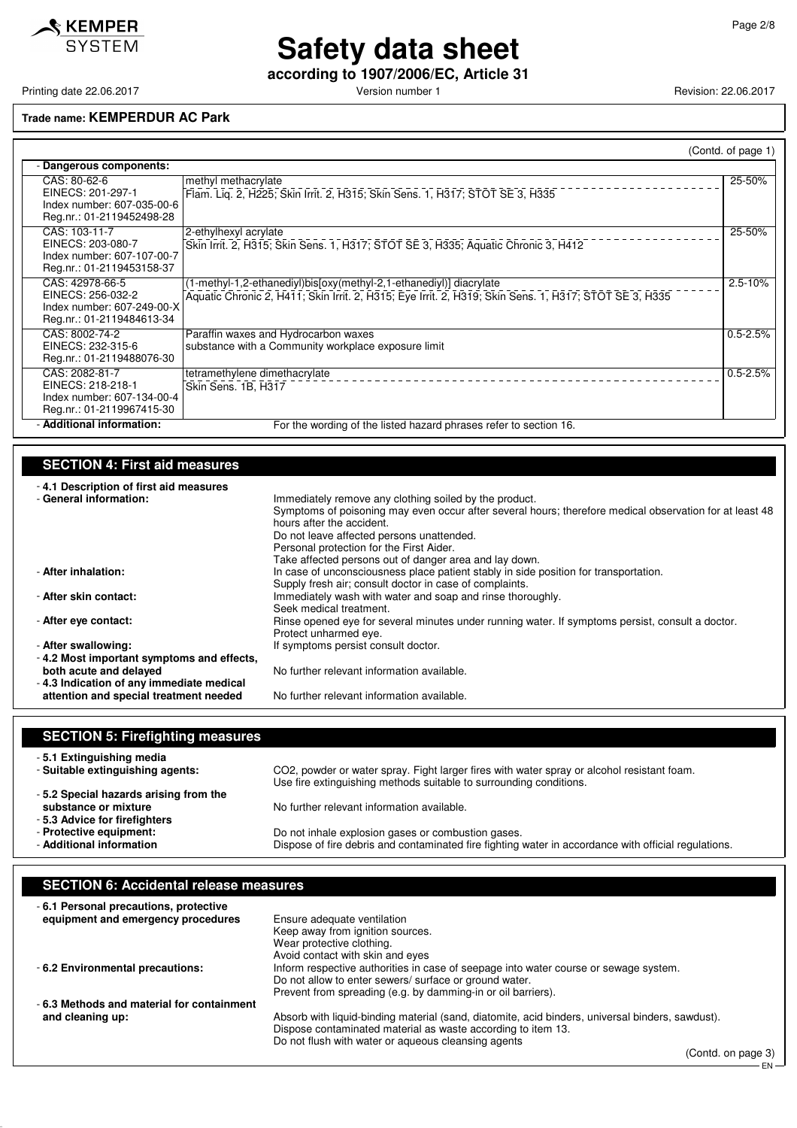

**according to 1907/2006/EC, Article 31**

Printing date 22.06.2017 **Printing date 22.06.2017** Version number 1 Revision: 22.06.2017

## **Trade name: KEMPERDUR AC Park**

|                                                                                                 |                                                                                                                                                                              | (Contd. of page 1) |  |  |  |  |
|-------------------------------------------------------------------------------------------------|------------------------------------------------------------------------------------------------------------------------------------------------------------------------------|--------------------|--|--|--|--|
| - Dangerous components:                                                                         |                                                                                                                                                                              |                    |  |  |  |  |
| CAS: 80-62-6<br>EINECS: 201-297-1<br>Index number: 607-035-00-6<br>Reg.nr.: 01-2119452498-28    | methyl methacrylate<br>Flam. Lig. 2, H225; Skin Irrit. 2, H315; Skin Sens. 1, H317; STOT SE 3, H335                                                                          | 25-50%             |  |  |  |  |
| CAS: 103-11-7<br>EINECS: 203-080-7<br>Index number: 607-107-00-7<br>Reg.nr.: 01-2119453158-37   | 2-ethylhexyl acrylate<br>Skin Irrit. 2, H315; Skin Sens. 1, H317; STOT SE 3, H335; Aquatic Chronic 3, H412                                                                   | 25-50%             |  |  |  |  |
| CAS: 42978-66-5<br>EINECS: 256-032-2<br>Index number: 607-249-00-X<br>Reg.nr.: 01-2119484613-34 | (1-methyl-1,2-ethanediyl)bis[oxy(methyl-2,1-ethanediyl)] diacrylate<br>Aquatic Chronic 2, H411; Skin Irrit. 2, H315; Eye Irrit. 2, H319; Skin Sens. 1, H317; STOT SE 3, H335 | $2.5 - 10%$        |  |  |  |  |
| CAS: 8002-74-2<br>EINECS: 232-315-6<br>Reg.nr.: 01-2119488076-30                                | Paraffin waxes and Hydrocarbon waxes<br>substance with a Community workplace exposure limit                                                                                  | $0.5 - 2.5%$       |  |  |  |  |
| CAS: 2082-81-7<br>EINECS: 218-218-1<br>Index number: 607-134-00-4<br>Reg.nr.: 01-2119967415-30  | tetramethylene dimethacrylate<br>Skin Sens. 1B, H317                                                                                                                         | $0.5 - 2.5%$       |  |  |  |  |
| - Additional information:                                                                       | For the wording of the listed hazard phrases refer to section 16.                                                                                                            |                    |  |  |  |  |

### **SECTION 4: First aid measures**

| -4.1 Description of first aid measures    |                                                                                                         |
|-------------------------------------------|---------------------------------------------------------------------------------------------------------|
| - General information:                    | Immediately remove any clothing soiled by the product.                                                  |
|                                           | Symptoms of poisoning may even occur after several hours; therefore medical observation for at least 48 |
|                                           | hours after the accident.                                                                               |
|                                           | Do not leave affected persons unattended.                                                               |
|                                           | Personal protection for the First Aider.                                                                |
|                                           | Take affected persons out of danger area and lay down.                                                  |
| - After inhalation:                       | In case of unconsciousness place patient stably in side position for transportation.                    |
|                                           | Supply fresh air; consult doctor in case of complaints.                                                 |
| - After skin contact:                     | Immediately wash with water and soap and rinse thoroughly.                                              |
|                                           | Seek medical treatment.                                                                                 |
| - After eye contact:                      | Rinse opened eve for several minutes under running water. If symptoms persist, consult a doctor.        |
|                                           | Protect unharmed eye.                                                                                   |
| - After swallowing:                       | If symptoms persist consult doctor.                                                                     |
| -4.2 Most important symptoms and effects, |                                                                                                         |
| both acute and delayed                    | No further relevant information available.                                                              |
| -4.3 Indication of any immediate medical  |                                                                                                         |
| attention and special treatment needed    | No further relevant information available.                                                              |

| <b>SECTION 5: Firefighting measures</b>                       |                                                                                                                                                                  |
|---------------------------------------------------------------|------------------------------------------------------------------------------------------------------------------------------------------------------------------|
| -5.1 Extinguishing media                                      |                                                                                                                                                                  |
| - Suitable extinguishing agents:                              | CO2, powder or water spray. Fight larger fires with water spray or alcohol resistant foam.<br>Use fire extinguishing methods suitable to surrounding conditions. |
| -5.2 Special hazards arising from the<br>substance or mixture | No further relevant information available.                                                                                                                       |
| - 5.3 Advice for firefighters                                 |                                                                                                                                                                  |
| - Protective equipment:<br>- Additional information           | Do not inhale explosion gases or combustion gases.<br>Dispose of fire debris and contaminated fire fighting water in accordance with official regulations.       |

## **SECTION 6: Accidental release measures**

| -6.1 Personal precautions, protective     |                                                                                                  |
|-------------------------------------------|--------------------------------------------------------------------------------------------------|
| equipment and emergency procedures        | Ensure adequate ventilation                                                                      |
|                                           | Keep away from ignition sources.                                                                 |
|                                           | Wear protective clothing.                                                                        |
|                                           | Avoid contact with skin and eyes                                                                 |
| -6.2 Environmental precautions:           | Inform respective authorities in case of seepage into water course or sewage system.             |
|                                           | Do not allow to enter sewers/ surface or ground water.                                           |
|                                           | Prevent from spreading (e.g. by damming-in or oil barriers).                                     |
| -6.3 Methods and material for containment |                                                                                                  |
| and cleaning up:                          | Absorb with liquid-binding material (sand, diatomite, acid binders, universal binders, sawdust). |
|                                           | Dispose contaminated material as waste according to item 13.                                     |
|                                           | Do not flush with water or aqueous cleansing agents                                              |

(Contd. on page 3) EN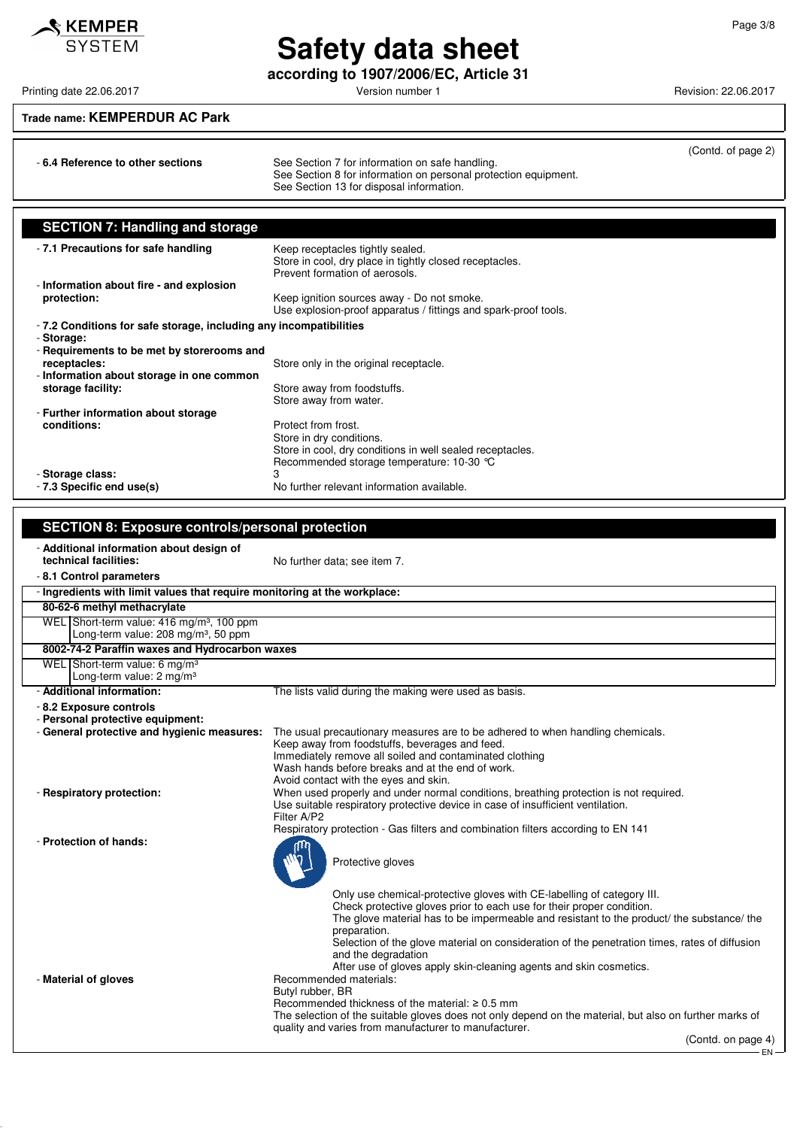## $\triangle$  KEMPER **SYSTEM**

## **Safety data sheet**

**according to 1907/2006/EC, Article 31**

- **6.4 Reference to other sections** See Section 7 for information on safe handling.

Printing date 22.06.2017 **Printing date 22.06.2017** Version number 1 Revision: 22.06.2017

(Contd. of page 2)

## **Trade name: KEMPERDUR AC Park**

|                                                                                                                                         | See Section 8 for information on personal protection equipment.<br>See Section 13 for disposal information.                                                                                                                                                                                                                                                                                                                                                                                                                                                      |  |
|-----------------------------------------------------------------------------------------------------------------------------------------|------------------------------------------------------------------------------------------------------------------------------------------------------------------------------------------------------------------------------------------------------------------------------------------------------------------------------------------------------------------------------------------------------------------------------------------------------------------------------------------------------------------------------------------------------------------|--|
| <b>SECTION 7: Handling and storage</b>                                                                                                  |                                                                                                                                                                                                                                                                                                                                                                                                                                                                                                                                                                  |  |
| - 7.1 Precautions for safe handling                                                                                                     | Keep receptacles tightly sealed.<br>Store in cool, dry place in tightly closed receptacles.                                                                                                                                                                                                                                                                                                                                                                                                                                                                      |  |
| - Information about fire - and explosion<br>protection:                                                                                 | Prevent formation of aerosols.<br>Keep ignition sources away - Do not smoke.                                                                                                                                                                                                                                                                                                                                                                                                                                                                                     |  |
| - 7.2 Conditions for safe storage, including any incompatibilities<br>- Storage:                                                        | Use explosion-proof apparatus / fittings and spark-proof tools.                                                                                                                                                                                                                                                                                                                                                                                                                                                                                                  |  |
| - Requirements to be met by storerooms and<br>receptacles:<br>- Information about storage in one common                                 | Store only in the original receptacle.                                                                                                                                                                                                                                                                                                                                                                                                                                                                                                                           |  |
| storage facility:                                                                                                                       | Store away from foodstuffs.<br>Store away from water.                                                                                                                                                                                                                                                                                                                                                                                                                                                                                                            |  |
| - Further information about storage<br>conditions:                                                                                      | Protect from frost.<br>Store in dry conditions.<br>Store in cool, dry conditions in well sealed receptacles.<br>Recommended storage temperature: 10-30 °C                                                                                                                                                                                                                                                                                                                                                                                                        |  |
| - Storage class:<br>- 7.3 Specific end use(s)                                                                                           | 3<br>No further relevant information available.                                                                                                                                                                                                                                                                                                                                                                                                                                                                                                                  |  |
| <b>SECTION 8: Exposure controls/personal protection</b>                                                                                 |                                                                                                                                                                                                                                                                                                                                                                                                                                                                                                                                                                  |  |
| - Additional information about design of                                                                                                |                                                                                                                                                                                                                                                                                                                                                                                                                                                                                                                                                                  |  |
| technical facilities:<br>-8.1 Control parameters                                                                                        | No further data; see item 7.                                                                                                                                                                                                                                                                                                                                                                                                                                                                                                                                     |  |
| - Ingredients with limit values that require monitoring at the workplace:<br>80-62-6 methyl methacrylate                                |                                                                                                                                                                                                                                                                                                                                                                                                                                                                                                                                                                  |  |
| WEL Short-term value: 416 mg/m <sup>3</sup> , 100 ppm<br>Long-term value: 208 mg/m <sup>3</sup> , 50 ppm                                |                                                                                                                                                                                                                                                                                                                                                                                                                                                                                                                                                                  |  |
| 8002-74-2 Paraffin waxes and Hydrocarbon waxes                                                                                          |                                                                                                                                                                                                                                                                                                                                                                                                                                                                                                                                                                  |  |
| WEL Short-term value: 6 mg/m <sup>3</sup><br>Long-term value: 2 mg/m <sup>3</sup>                                                       |                                                                                                                                                                                                                                                                                                                                                                                                                                                                                                                                                                  |  |
| - Additional information:<br>- 8.2 Exposure controls<br>- Personal protective equipment:<br>- General protective and hygienic measures: | The lists valid during the making were used as basis.<br>The usual precautionary measures are to be adhered to when handling chemicals.<br>Keep away from foodstuffs, beverages and feed.<br>Immediately remove all soiled and contaminated clothing<br>Wash hands before breaks and at the end of work.                                                                                                                                                                                                                                                         |  |
| - Respiratory protection:                                                                                                               | Avoid contact with the eyes and skin.<br>When used properly and under normal conditions, breathing protection is not required.<br>Use suitable respiratory protective device in case of insufficient ventilation.<br>Filter A/P2                                                                                                                                                                                                                                                                                                                                 |  |
| - Protection of hands:                                                                                                                  | Respiratory protection - Gas filters and combination filters according to EN 141<br>Protective gloves                                                                                                                                                                                                                                                                                                                                                                                                                                                            |  |
| - Material of gloves                                                                                                                    | Only use chemical-protective gloves with CE-labelling of category III.<br>Check protective gloves prior to each use for their proper condition.<br>The glove material has to be impermeable and resistant to the product/ the substance/ the<br>preparation.<br>Selection of the glove material on consideration of the penetration times, rates of diffusion<br>and the degradation<br>After use of gloves apply skin-cleaning agents and skin cosmetics.<br>Recommended materials:<br>Butyl rubber, BR<br>Recommended thickness of the material: $\geq 0.5$ mm |  |
|                                                                                                                                         | The selection of the suitable gloves does not only depend on the material, but also on further marks of<br>quality and varies from manufacturer to manufacturer.<br>(Contd. on page 4)                                                                                                                                                                                                                                                                                                                                                                           |  |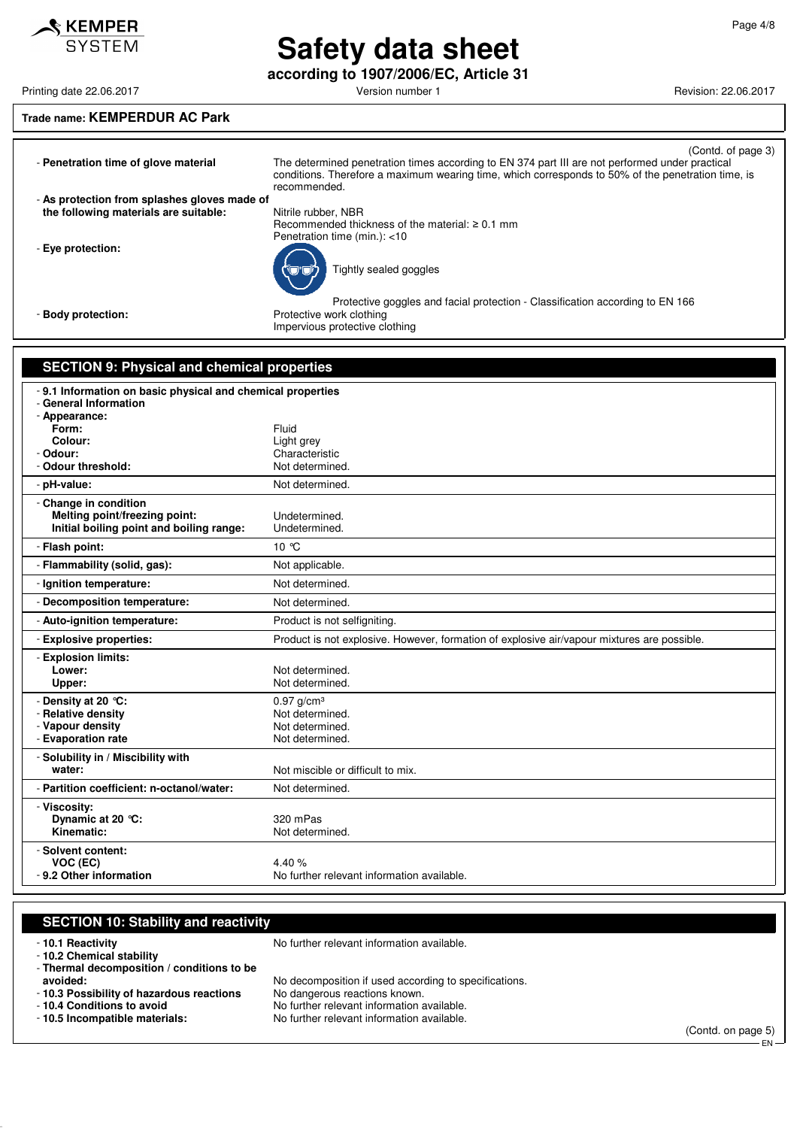**according to 1907/2006/EC, Article 31**

Printing date 22.06.2017 **Version number 1 Printing date 22.06.2017 Revision: 22.06.2017** 

## **Trade name: KEMPERDUR AC Park**

| - Penetration time of glove material                       | (Contd. of page 3)<br>The determined penetration times according to EN 374 part III are not performed under practical<br>conditions. Therefore a maximum wearing time, which corresponds to 50% of the penetration time, is<br>recommended. |
|------------------------------------------------------------|---------------------------------------------------------------------------------------------------------------------------------------------------------------------------------------------------------------------------------------------|
| - As protection from splashes gloves made of               |                                                                                                                                                                                                                                             |
| the following materials are suitable:                      | Nitrile rubber, NBR                                                                                                                                                                                                                         |
|                                                            | Recommended thickness of the material: $\geq 0.1$ mm                                                                                                                                                                                        |
|                                                            | Penetration time (min.): <10                                                                                                                                                                                                                |
| - Eye protection:                                          |                                                                                                                                                                                                                                             |
|                                                            |                                                                                                                                                                                                                                             |
|                                                            | Tightly sealed goggles                                                                                                                                                                                                                      |
|                                                            |                                                                                                                                                                                                                                             |
|                                                            |                                                                                                                                                                                                                                             |
|                                                            | Protective goggles and facial protection - Classification according to EN 166                                                                                                                                                               |
| - Body protection:                                         | Protective work clothing                                                                                                                                                                                                                    |
|                                                            | Impervious protective clothing                                                                                                                                                                                                              |
|                                                            |                                                                                                                                                                                                                                             |
|                                                            |                                                                                                                                                                                                                                             |
| <b>SECTION 9: Physical and chemical properties</b>         |                                                                                                                                                                                                                                             |
|                                                            |                                                                                                                                                                                                                                             |
| -9.1 Information on basic physical and chemical properties |                                                                                                                                                                                                                                             |
| - General Information                                      |                                                                                                                                                                                                                                             |
| - Appearance:                                              |                                                                                                                                                                                                                                             |
| Form:                                                      | Fluid                                                                                                                                                                                                                                       |
| Colour:                                                    | Light grey                                                                                                                                                                                                                                  |
| - Odour:                                                   | Characteristic                                                                                                                                                                                                                              |
| - Odour threshold:                                         | Not determined.                                                                                                                                                                                                                             |
| - pH-value:                                                | Not determined.                                                                                                                                                                                                                             |
|                                                            |                                                                                                                                                                                                                                             |
| - Change in condition                                      | Undetermined.                                                                                                                                                                                                                               |
| Melting point/freezing point:                              |                                                                                                                                                                                                                                             |
| Initial boiling point and boiling range:                   | Undetermined.                                                                                                                                                                                                                               |
| - Flash point:                                             | 10 °C                                                                                                                                                                                                                                       |
| - Flammability (solid, gas):                               | Not applicable.                                                                                                                                                                                                                             |
| - Ignition temperature:                                    | Not determined.                                                                                                                                                                                                                             |
| - Decomposition temperature:                               | Not determined.                                                                                                                                                                                                                             |
| - Auto-ignition temperature:                               | Product is not selfigniting.                                                                                                                                                                                                                |
| - Explosive properties:                                    | Product is not explosive. However, formation of explosive air/vapour mixtures are possible.                                                                                                                                                 |
| - Explosion limits:                                        |                                                                                                                                                                                                                                             |
| Lower:                                                     | Not determined.                                                                                                                                                                                                                             |
| Upper:                                                     | Not determined.                                                                                                                                                                                                                             |
|                                                            |                                                                                                                                                                                                                                             |
| - Density at 20 °C:                                        | $0.97$ g/cm <sup>3</sup>                                                                                                                                                                                                                    |
| - Relative density                                         | Not determined.                                                                                                                                                                                                                             |
| - Vapour density                                           | Not determined.                                                                                                                                                                                                                             |
| - Evaporation rate                                         | Not determined.                                                                                                                                                                                                                             |
| - Solubility in / Miscibility with                         |                                                                                                                                                                                                                                             |
| water:                                                     | Not miscible or difficult to mix.                                                                                                                                                                                                           |

**Dynamic at 20 °C:** 320 mPas<br> **Kinematic:** Not determ **Not determined.** - **Solvent content: VOC (EC)** 4.40 %<br>**-9.2 Other information** 6.40 Mo furth No further relevant information available. **SECTION 10: Stability and reactivity**

- **10.1 Reactivity 10.1 Reactivity 10.1 Reactivity** 

- **Viscosity:**

- **10.2 Chemical stability**

- **Thermal decomposition / conditions to be**

- **Partition coefficient: n-octanol/water:** Not determined.

**10.3 Possibility of hazardous reactions**<br>- 10.4 Conditions to avoid

No decomposition if used according to specifications.<br>No dangerous reactions known.

- **10.4 Conditions to avoid** No further relevant information available.<br>- **10.5 Incompatible materials:** No further relevant information available. No further relevant information available.

(Contd. on page 5) EN

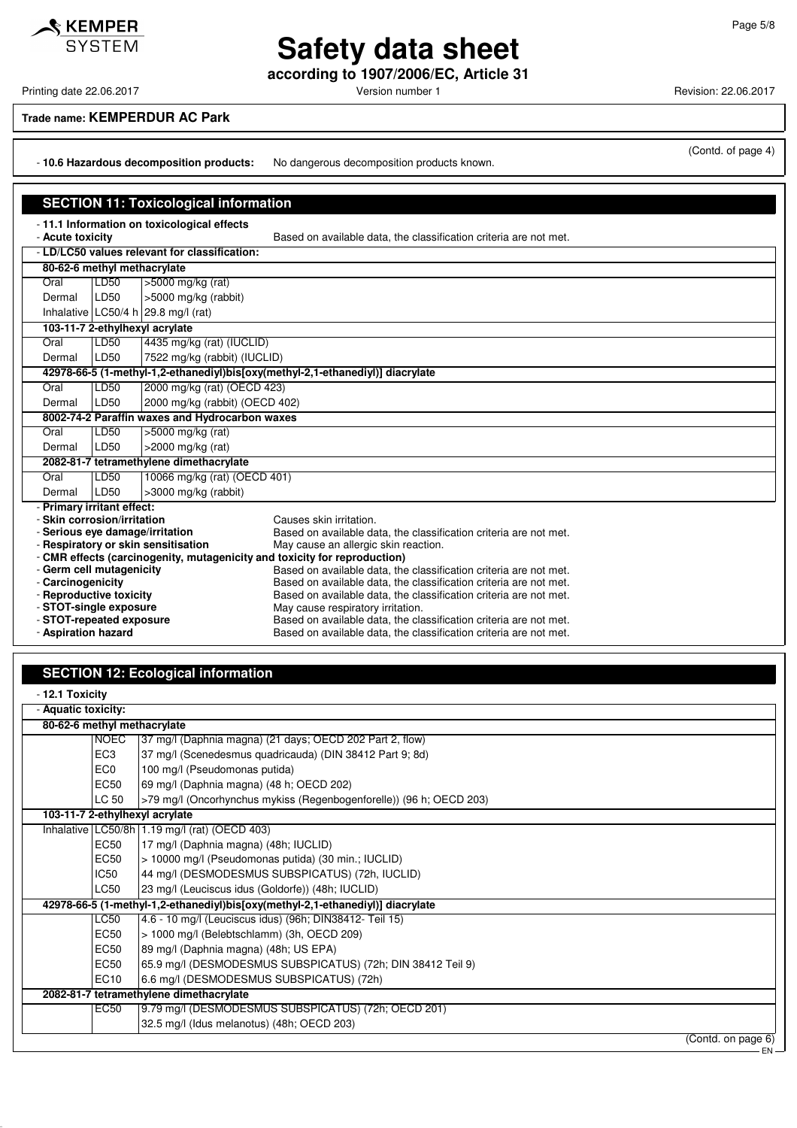**according to 1907/2006/EC, Article 31**

(Contd. of page 4)

#### **Trade name: KEMPERDUR AC Park**

- **10.6 Hazardous decomposition products:** No dangerous decomposition products known.

|                             | <b>SECTION 11: Toxicological information</b> |                                                |                                                                                                                                                |  |  |  |  |
|-----------------------------|----------------------------------------------|------------------------------------------------|------------------------------------------------------------------------------------------------------------------------------------------------|--|--|--|--|
|                             |                                              | - 11.1 Information on toxicological effects    |                                                                                                                                                |  |  |  |  |
| - Acute toxicity            |                                              |                                                | Based on available data, the classification criteria are not met.                                                                              |  |  |  |  |
|                             |                                              | - LD/LC50 values relevant for classification:  |                                                                                                                                                |  |  |  |  |
| 80-62-6 methyl methacrylate |                                              |                                                |                                                                                                                                                |  |  |  |  |
| Oral                        | LD50                                         | $>5000$ mg/kg (rat)                            |                                                                                                                                                |  |  |  |  |
| Dermal                      | LD50                                         | >5000 mg/kg (rabbit)                           |                                                                                                                                                |  |  |  |  |
|                             |                                              | Inhalative $LC50/4 h$ 29.8 mg/l (rat)          |                                                                                                                                                |  |  |  |  |
|                             |                                              | 103-11-7 2-ethylhexyl acrylate                 |                                                                                                                                                |  |  |  |  |
| Oral                        | LD50                                         | 4435 mg/kg (rat) (IUCLID)                      |                                                                                                                                                |  |  |  |  |
| Dermal                      | LD50                                         | 7522 mg/kg (rabbit) (IUCLID)                   |                                                                                                                                                |  |  |  |  |
|                             |                                              |                                                | 42978-66-5 (1-methyl-1,2-ethanediyl)bis[oxy(methyl-2,1-ethanediyl)] diacrylate                                                                 |  |  |  |  |
| Oral                        | LD50                                         | 2000 mg/kg (rat) (OECD 423)                    |                                                                                                                                                |  |  |  |  |
| Dermal                      | LD50                                         | 2000 mg/kg (rabbit) (OECD 402)                 |                                                                                                                                                |  |  |  |  |
|                             |                                              | 8002-74-2 Paraffin waxes and Hydrocarbon waxes |                                                                                                                                                |  |  |  |  |
| Oral                        | LD50                                         | $>5000$ mg/kg (rat)                            |                                                                                                                                                |  |  |  |  |
| Dermal                      | LD50                                         | $>2000$ mg/kg (rat)                            |                                                                                                                                                |  |  |  |  |
|                             |                                              | 2082-81-7 tetramethylene dimethacrylate        |                                                                                                                                                |  |  |  |  |
| Oral                        | LD50                                         | 10066 mg/kg (rat) (OECD 401)                   |                                                                                                                                                |  |  |  |  |
| Dermal                      | LD50                                         | >3000 mg/kg (rabbit)                           |                                                                                                                                                |  |  |  |  |
| - Primary irritant effect:  |                                              |                                                |                                                                                                                                                |  |  |  |  |
| - Skin corrosion/irritation |                                              |                                                | Causes skin irritation.                                                                                                                        |  |  |  |  |
|                             |                                              | - Serious eye damage/irritation                | Based on available data, the classification criteria are not met.                                                                              |  |  |  |  |
|                             |                                              | - Respiratory or skin sensitisation            | May cause an allergic skin reaction.                                                                                                           |  |  |  |  |
| - Germ cell mutagenicity    |                                              |                                                | - CMR effects (carcinogenity, mutagenicity and toxicity for reproduction)<br>Based on available data, the classification criteria are not met. |  |  |  |  |
| - Carcinogenicity           |                                              |                                                | Based on available data, the classification criteria are not met.                                                                              |  |  |  |  |
| - Reproductive toxicity     |                                              |                                                | Based on available data, the classification criteria are not met.                                                                              |  |  |  |  |
| - STOT-single exposure      |                                              |                                                | May cause respiratory irritation.                                                                                                              |  |  |  |  |
| - STOT-repeated exposure    |                                              |                                                | Based on available data, the classification criteria are not met.                                                                              |  |  |  |  |
| - Aspiration hazard         |                                              |                                                | Based on available data, the classification criteria are not met.                                                                              |  |  |  |  |

### **SECTION 12: Ecological information**

| - Aquatic toxicity:            |                 |                                                                                |                    |  |  |
|--------------------------------|-----------------|--------------------------------------------------------------------------------|--------------------|--|--|
| 80-62-6 methyl methacrylate    |                 |                                                                                |                    |  |  |
|                                | <b>NOEC</b>     | 37 mg/l (Daphnia magna) (21 days; OECD 202 Part 2, flow)                       |                    |  |  |
|                                | EC <sub>3</sub> | 37 mg/l (Scenedesmus quadricauda) (DIN 38412 Part 9; 8d)                       |                    |  |  |
|                                | EC <sub>0</sub> | 100 mg/l (Pseudomonas putida)                                                  |                    |  |  |
|                                | EC50            | 69 mg/l (Daphnia magna) (48 h; OECD 202)                                       |                    |  |  |
|                                | LC 50           | >79 mg/l (Oncorhynchus mykiss (Regenbogenforelle)) (96 h; OECD 203)            |                    |  |  |
| 103-11-7 2-ethylhexyl acrylate |                 |                                                                                |                    |  |  |
|                                |                 | Inhalative   LC50/8h   1.19 mg/l (rat) (OECD 403)                              |                    |  |  |
|                                | <b>EC50</b>     | 17 mg/l (Daphnia magna) (48h; IUCLID)                                          |                    |  |  |
|                                | EC50            | > 10000 mg/l (Pseudomonas putida) (30 min.; IUCLID)                            |                    |  |  |
|                                | <b>IC50</b>     | 44 mg/l (DESMODESMUS SUBSPICATUS) (72h, IUCLID)                                |                    |  |  |
|                                | LC50            | 23 mg/l (Leuciscus idus (Goldorfe)) (48h; IUCLID)                              |                    |  |  |
|                                |                 | 42978-66-5 (1-methyl-1,2-ethanediyl)bis[oxy(methyl-2,1-ethanediyl)] diacrylate |                    |  |  |
|                                | <b>LC50</b>     | 4.6 - 10 mg/l (Leuciscus idus) (96h; DIN38412- Teil 15)                        |                    |  |  |
|                                | <b>EC50</b>     | > 1000 mg/l (Belebtschlamm) (3h, OECD 209)                                     |                    |  |  |
|                                | EC50            | 89 mg/l (Daphnia magna) (48h; US EPA)                                          |                    |  |  |
|                                | EC50            | 65.9 mg/l (DESMODESMUS SUBSPICATUS) (72h; DIN 38412 Teil 9)                    |                    |  |  |
|                                | EC10            | 6.6 mg/l (DESMODESMUS SUBSPICATUS) (72h)                                       |                    |  |  |
|                                |                 | 2082-81-7 tetramethylene dimethacrylate                                        |                    |  |  |
|                                | EC50            | 9.79 mg/l (DESMODESMUS SUBSPICATUS) (72h; OECD 201)                            |                    |  |  |
|                                |                 | 32.5 mg/l (Idus melanotus) (48h; OECD 203)                                     |                    |  |  |
|                                |                 |                                                                                | (Contd. on page 6) |  |  |



Printing date 22.06.2017 **Printing date 22.06.2017** Version number 1 Revision: 22.06.2017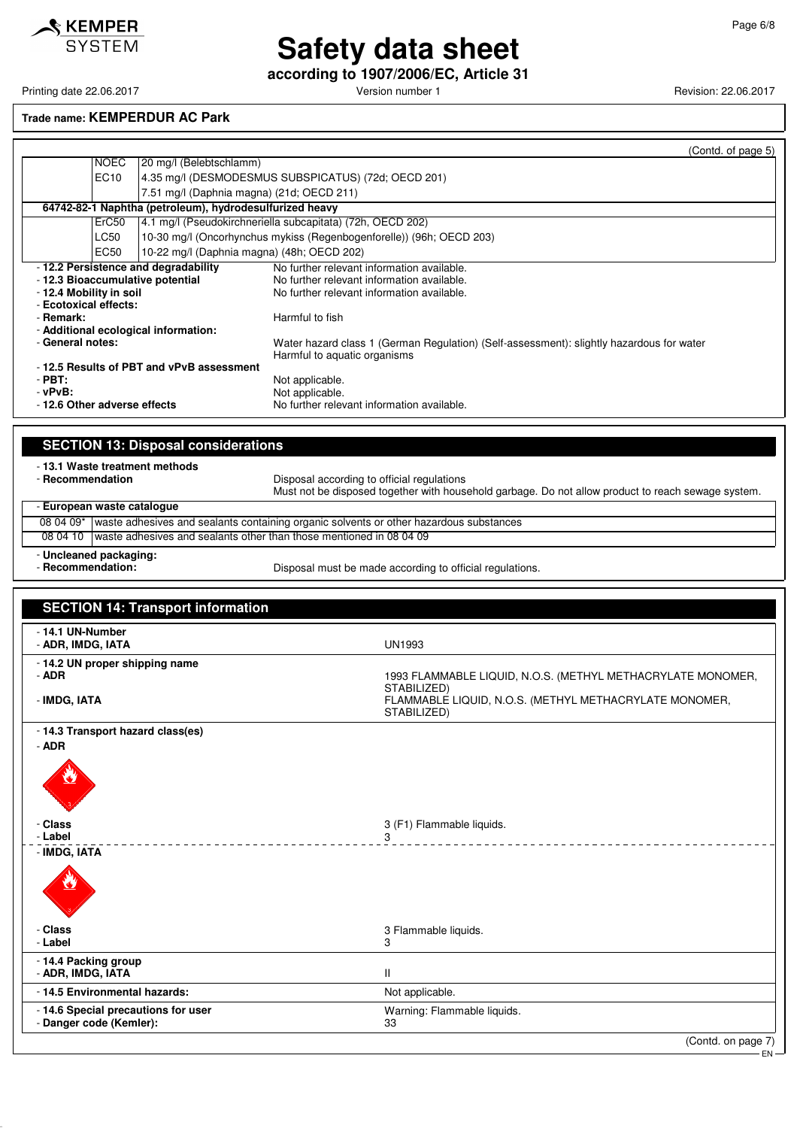

**according to 1907/2006/EC, Article 31**

Printing date 22.06.2017 **Printing date 22.06.2017** Version number 1 Revision: 22.06.2017

#### **Trade name: KEMPERDUR AC Park**

|                                                    |                                                         | (Contd. of page 5)                                                                                                                               |
|----------------------------------------------------|---------------------------------------------------------|--------------------------------------------------------------------------------------------------------------------------------------------------|
| <b>NOEC</b>                                        | 20 mg/l (Belebtschlamm)                                 |                                                                                                                                                  |
| EC10                                               |                                                         | 4.35 mg/l (DESMODESMUS SUBSPICATUS) (72d; OECD 201)                                                                                              |
|                                                    |                                                         | 7.51 mg/l (Daphnia magna) (21d; OECD 211)                                                                                                        |
|                                                    | 64742-82-1 Naphtha (petroleum), hydrodesulfurized heavy |                                                                                                                                                  |
| ErC <sub>50</sub>                                  |                                                         | 4.1 mg/l (Pseudokirchneriella subcapitata) (72h, OECD 202)                                                                                       |
| LC50                                               |                                                         | 10-30 mg/l (Oncorhynchus mykiss (Regenbogenforelle)) (96h; OECD 203)                                                                             |
| EC50                                               |                                                         | 10-22 mg/l (Daphnia magna) (48h; OECD 202)                                                                                                       |
| - 12.2 Persistence and degradability               |                                                         | No further relevant information available.                                                                                                       |
| - 12.3 Bioaccumulative potential                   |                                                         | No further relevant information available.                                                                                                       |
| - 12.4 Mobility in soil                            |                                                         | No further relevant information available.                                                                                                       |
| - Ecotoxical effects:                              |                                                         |                                                                                                                                                  |
| - Remark:                                          |                                                         | Harmful to fish                                                                                                                                  |
| - Additional ecological information:               |                                                         |                                                                                                                                                  |
| - General notes:                                   |                                                         | Water hazard class 1 (German Regulation) (Self-assessment): slightly hazardous for water<br>Harmful to aquatic organisms                         |
|                                                    | -12.5 Results of PBT and vPvB assessment                |                                                                                                                                                  |
| $-$ PBT:                                           |                                                         | Not applicable.                                                                                                                                  |
| $-vPvB$ :                                          |                                                         | Not applicable.                                                                                                                                  |
| - 12.6 Other adverse effects                       |                                                         | No further relevant information available.                                                                                                       |
|                                                    |                                                         |                                                                                                                                                  |
|                                                    | <b>SECTION 13: Disposal considerations</b>              |                                                                                                                                                  |
| - 13.1 Waste treatment methods<br>- Recommendation |                                                         | Disposal according to official regulations<br>Must not be disposed together with household garbage. Do not allow product to reach sewage system. |
| European waste catalogue                           |                                                         |                                                                                                                                                  |

08 04 09\* waste adhesives and sealants containing organic solvents or other hazardous substances 08 04 10 waste adhesives and sealants other than those mentioned in 08 04 09

- **Uncleaned packaging:**

Disposal must be made according to official regulations.

| <b>SECTION 14: Transport information</b>                       |                                                                                      |
|----------------------------------------------------------------|--------------------------------------------------------------------------------------|
| - 14.1 UN-Number<br>- ADR, IMDG, IATA                          | <b>UN1993</b>                                                                        |
| - 14.2 UN proper shipping name<br>- ADR                        | 1993 FLAMMABLE LIQUID, N.O.S. (METHYL METHACRYLATE MONOMER,                          |
| - IMDG, IATA                                                   | STABILIZED)<br>FLAMMABLE LIQUID, N.O.S. (METHYL METHACRYLATE MONOMER,<br>STABILIZED) |
| - 14.3 Transport hazard class(es)<br>$-$ ADR                   |                                                                                      |
| ۹                                                              |                                                                                      |
| - Class<br>- Label                                             | 3 (F1) Flammable liquids.<br>3                                                       |
| - IMDG, IATA<br>Ø                                              |                                                                                      |
| - Class<br>- Label                                             | 3 Flammable liquids.<br>3                                                            |
| - 14.4 Packing group<br>- ADR, IMDG, IATA                      | $\mathbf{H}$                                                                         |
| - 14.5 Environmental hazards:                                  | Not applicable.                                                                      |
| - 14.6 Special precautions for user<br>- Danger code (Kemler): | Warning: Flammable liquids.<br>33                                                    |
|                                                                | (Contd. on page 7)                                                                   |

EN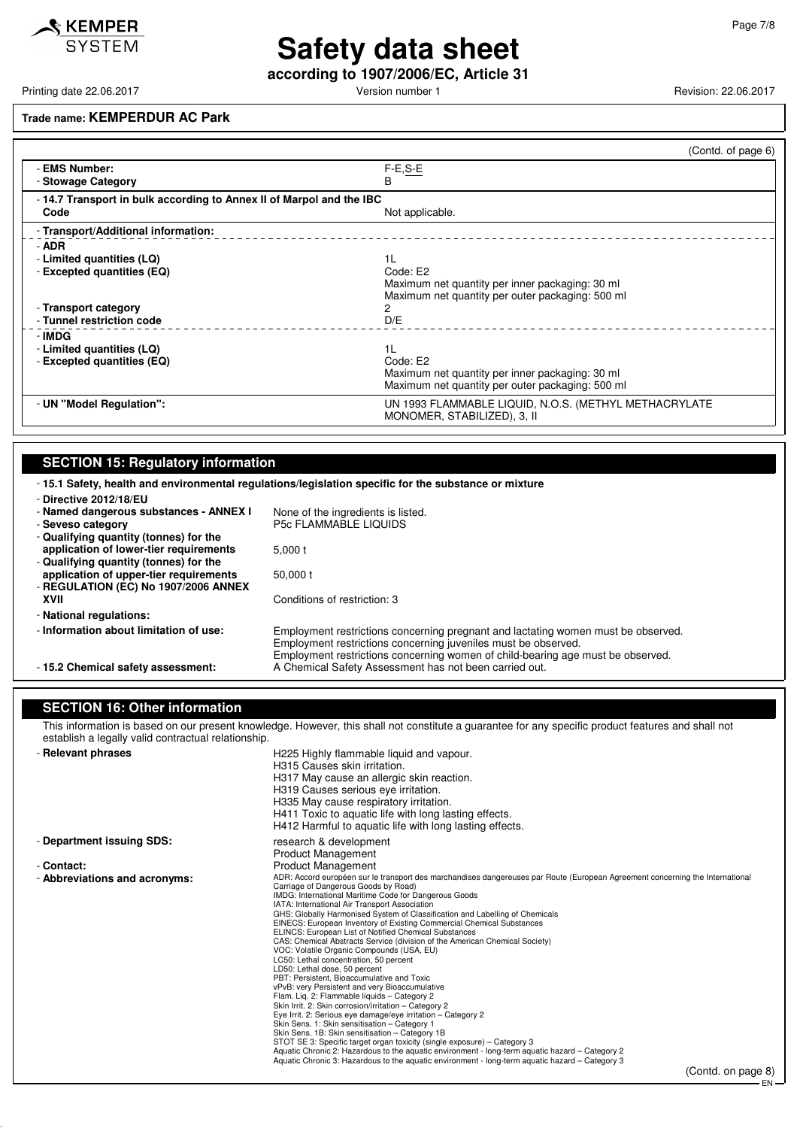

## **Safety data sheet according to 1907/2006/EC, Article 31**

Printing date 22.06.2017 **Version number 1 Version number 1** Revision: 22.06.2017

#### **Trade name: KEMPERDUR AC Park**

|                                                                     | (Contd. of page 6)                                                                                                                |
|---------------------------------------------------------------------|-----------------------------------------------------------------------------------------------------------------------------------|
| - EMS Number:<br>- Stowage Category                                 | $F-E, S-E$<br>B                                                                                                                   |
| -14.7 Transport in bulk according to Annex II of Marpol and the IBC |                                                                                                                                   |
| Code                                                                | Not applicable.                                                                                                                   |
| - Transport/Additional information:                                 |                                                                                                                                   |
| - ADR<br>- Limited quantities (LQ)<br>- Excepted quantities (EQ)    | 11<br>Code: E2<br>Maximum net quantity per inner packaging: 30 ml<br>Maximum net quantity per outer packaging: 500 ml             |
| - Transport category<br>- Tunnel restriction code                   | 2<br>D/E                                                                                                                          |
| - IMDG<br>- Limited quantities (LQ)<br>- Excepted quantities (EQ)   | 1 <sub>L</sub><br>Code: E2<br>Maximum net quantity per inner packaging: 30 ml<br>Maximum net quantity per outer packaging: 500 ml |
| - UN "Model Regulation":                                            | UN 1993 FLAMMABLE LIQUID, N.O.S. (METHYL METHACRYLATE<br>MONOMER, STABILIZED), 3, II                                              |

### **SECTION 15: Regulatory information**

- **15.1 Safety, health and environmental regulations/legislation specific for the substance or mixture** - **Directive 2012/18/EU** - **Named dangerous substances - ANNEX I** None of the ingredients is listed. - **Seveso category** P5c FLAMMABLE LIQUIDS - **Qualifying quantity (tonnes) for the application of lower-tier requirements** 5,000 t - **Qualifying quantity (tonnes) for the application of upper-tier requirements** 50,000 t - **REGULATION (EC) No 1907/2006 ANNEX** Conditions of restriction: 3 - **National regulations:** - **Information about limitation of use:** Employment restrictions concerning pregnant and lactating women must be observed. Employment restrictions concerning juveniles must be observed. Employment restrictions concerning women of child-bearing age must be observed. - **15.2 Chemical safety assessment:** A Chemical Safety Assessment has not been carried out.

### **SECTION 16: Other information**

This information is based on our present knowledge. However, this shall not constitute a guarantee for any specific product features and shall not establish a legally valid contractual relationship.

| - Relevant phrases            | H225 Highly flammable liquid and vapour.<br>H315 Causes skin irritation.<br>H317 May cause an allergic skin reaction.<br>H319 Causes serious eye irritation.<br>H335 May cause respiratory irritation.<br>H411 Toxic to aquatic life with long lasting effects.<br>H412 Harmful to aquatic life with long lasting effects.                                                                                                                                                                                                                                                                                                                                                                                                                                                                                                                                                                                                                                                                                                                                                                                                                                                                                                                                                                                                                                                                    |
|-------------------------------|-----------------------------------------------------------------------------------------------------------------------------------------------------------------------------------------------------------------------------------------------------------------------------------------------------------------------------------------------------------------------------------------------------------------------------------------------------------------------------------------------------------------------------------------------------------------------------------------------------------------------------------------------------------------------------------------------------------------------------------------------------------------------------------------------------------------------------------------------------------------------------------------------------------------------------------------------------------------------------------------------------------------------------------------------------------------------------------------------------------------------------------------------------------------------------------------------------------------------------------------------------------------------------------------------------------------------------------------------------------------------------------------------|
| - Department issuing SDS:     | research & development<br><b>Product Management</b>                                                                                                                                                                                                                                                                                                                                                                                                                                                                                                                                                                                                                                                                                                                                                                                                                                                                                                                                                                                                                                                                                                                                                                                                                                                                                                                                           |
| - Contact:                    | <b>Product Management</b>                                                                                                                                                                                                                                                                                                                                                                                                                                                                                                                                                                                                                                                                                                                                                                                                                                                                                                                                                                                                                                                                                                                                                                                                                                                                                                                                                                     |
| - Abbreviations and acronyms: | ADR: Accord européen sur le transport des marchandises dangereuses par Route (European Agreement concerning the International<br>Carriage of Dangerous Goods by Road)<br>IMDG: International Maritime Code for Dangerous Goods<br>IATA: International Air Transport Association<br>GHS: Globally Harmonised System of Classification and Labelling of Chemicals<br>EINECS: European Inventory of Existing Commercial Chemical Substances<br>ELINCS: European List of Notified Chemical Substances<br>CAS: Chemical Abstracts Service (division of the American Chemical Society)<br>VOC: Volatile Organic Compounds (USA, EU)<br>LC50: Lethal concentration, 50 percent<br>LD50: Lethal dose, 50 percent<br>PBT: Persistent, Bioaccumulative and Toxic<br>vPvB: very Persistent and very Bioaccumulative<br>Flam. Lig. 2: Flammable liguids - Category 2<br>Skin Irrit. 2: Skin corrosion/irritation - Category 2<br>Eye Irrit. 2: Serious eye damage/eye irritation - Category 2<br>Skin Sens. 1: Skin sensitisation - Category 1<br>Skin Sens. 1B: Skin sensitisation - Category 1B<br>STOT SE 3: Specific target organ toxicity (single exposure) - Category 3<br>Aquatic Chronic 2: Hazardous to the aguatic environment - long-term aguatic hazard – Category 2<br>Aquatic Chronic 3: Hazardous to the aquatic environment - long-term aquatic hazard – Category 3<br>(Contd. on page 8) |